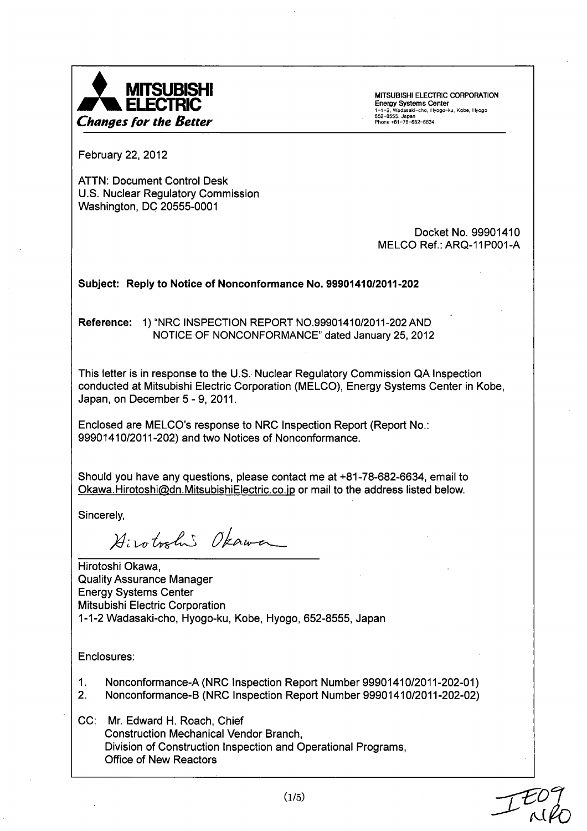

February 22, 2012

ATTN: Document Control Desk U.S. Nuclear Regulatory Commission Washington, DC 20555-0001

> Docket No. 99901410 MELCO Ref.: ARQ-11POO1-A

## Subject: Reply to Notice of Nonconformance No. 99901410/2011-202

Reference: 1) "NRC INSPECTION REPORT NO.99901410/2011-202 AND NOTICE OF NONCONFORMANCE" dated January 25, 2012

This letter is in response to the U.S. Nuclear Regulatory Commission QA Inspection conducted at Mitsubishi Electric Corporation (MELCO), Energy Systems Center in Kobe, Japan, on December 5 **-** 9, 2011.

Enclosed are MELCO's response to NRC Inspection Report (Report No.: 99901410/2011-202) and two Notices of Nonconformance.

Should you have any questions, please contact me at +81-78-682-6634, email to Okawa. Hirotoshi@dn. MitsubishiElectric.co. jp or mail to the address listed below.

Sincerely,

Hirotoshi Okawa

Hirotoshi Okawa, Quality Assurance Manager Energy Systems Center Mitsubishi Electric Corporation 1-1-2 Wadasaki-cho, Hyogo-ku, Kobe, Hyogo, 652-8555, Japan

Enclosures:

- 1. Nonconformance-A (NRC Inspection Report Number 99901410/2011-202-01)
- 2. Nonconformance-B (NRC Inspection Report Number 99901410/2011-202-02)

CC: Mr. Edward H. Roach, Chief Construction Mechanical Vendor Branch, Division of Construction Inspection and Operational Programs, Office of New Reactors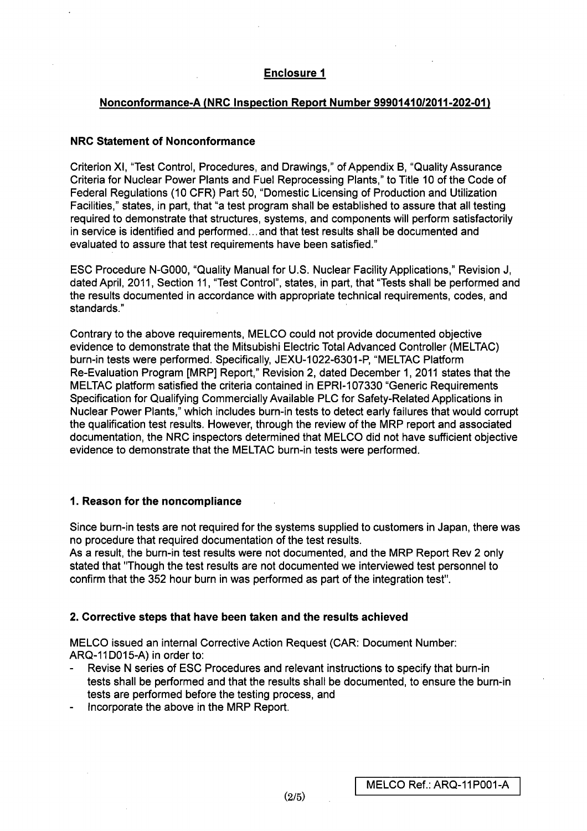# Enclosure **I**

## Nonconformance-A (NRC Inspection Report Number 99901410/2011-202-01)

### NRC Statement of Nonconformance

Criterion Xl, "Test Control, Procedures, and Drawings," of Appendix B, "Quality Assurance Criteria for Nuclear Power Plants and Fuel Reprocessing Plants," to Title 10 of the Code of Federal Regulations (10 CFR) Part 50, "Domestic Licensing of Production and Utilization Facilities," states, in part, that "a test program shall be established to assure that all testing required to demonstrate that structures, systems, and components will perform satisfactorily in service is identified and performed... and that test results shall be documented and evaluated to assure that test requirements have been satisfied."

ESC Procedure **N-GOOO,** "Quality Manual for U.S. Nuclear Facility Applications," Revision J, dated April, 2011, Section 11, "Test Control", states, in part, that "Tests shall be performed and the results documented in accordance with appropriate technical requirements, codes, and standards."

Contrary to the above requirements, MELCO could not provide documented objective evidence to demonstrate that the Mitsubishi Electric Total Advanced Controller (MELTAC) burn-in tests were performed. Specifically, JEXU-1022-6301-P, "MELTAC Platform Re-Evaluation Program [MRP] Report," Revision 2, dated December 1, 2011 states that the MELTAC platform satisfied the criteria contained in EPRI-107330 "Generic Requirements Specification for Qualifying Commercially Available PLC for Safety-Related Applications in Nuclear Power Plants," which includes burn-in tests to detect early failures that would corrupt the qualification test results. However, through the review of the MRP report and associated documentation, the NRC inspectors determined that MELCO did not have sufficient objective evidence to demonstrate that the MELTAC burn-in tests were performed.

### **1.** Reason for the noncompliance

Since burn-in tests are not required for the systems supplied to customers in Japan, there was no procedure that required documentation of the test results.

As a result, the burn-in test results were not documented, and the MRP Report Rev 2 only stated that "Though the test results are not documented we interviewed test personnel to confirm that the 352 hour burn in was performed as part of the integration test".

### 2. Corrective steps that have been taken and the results achieved

MELCO issued an internal Corrective Action Request (CAR: Document Number: ARQ-11D015-A) in order to:

- Revise N series of ESC Procedures and relevant instructions to specify that burn-in tests shall be performed and that the results shall be documented, to ensure the burn-in tests are performed before the testing process, and
- Incorporate the above in the MRP Report.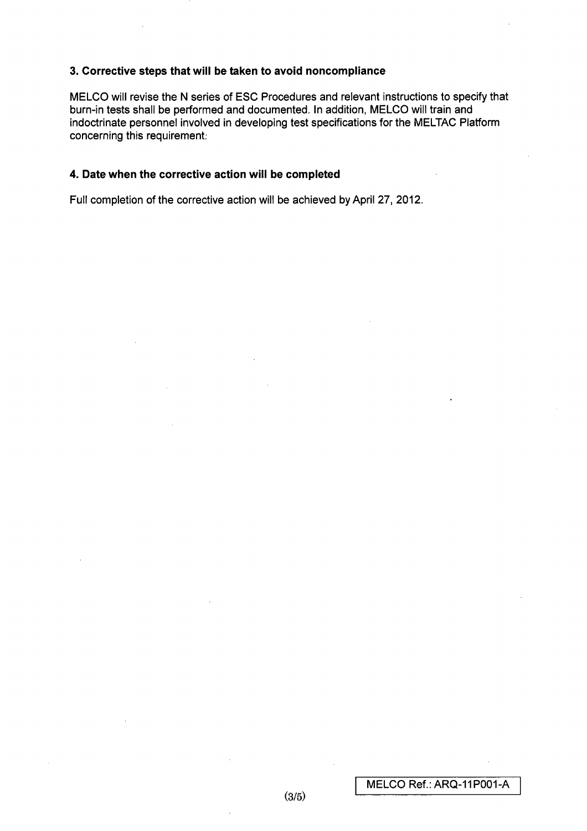### **3.** Corrective steps that will be taken to avoid noncompliance

**MELCO** will revise the N series of ESC Procedures and relevant instructions to specify that burn-in tests shall be performed and documented. In addition, MELCO will train and indoctrinate personnel involved in developing test specifications for the MELTAC Platform concerning this requirement

### 4. Date when the corrective action will be completed

Full completion of the corrective action will be achieved by April 27, 2012.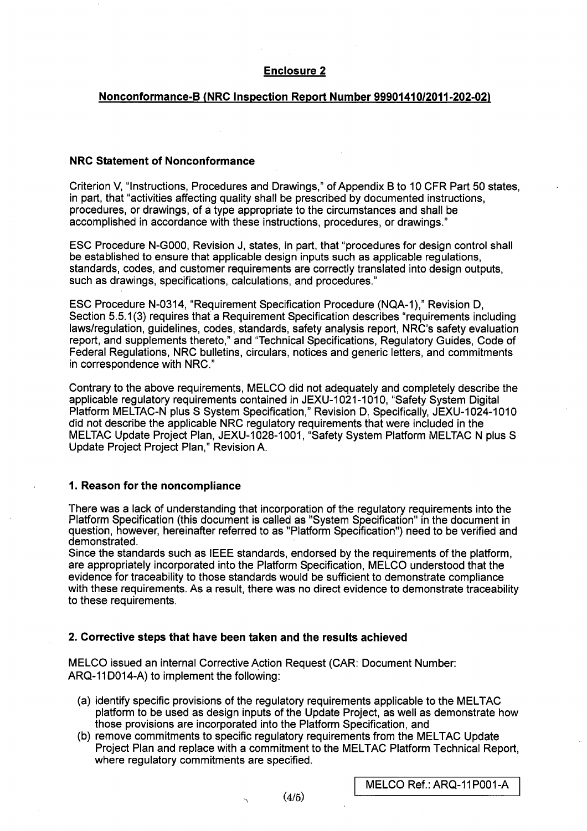### Enclosure 2

### Nonconformance-B (NRC Inspection Report Number 99901410/2011-202-02)

#### NRC Statement of Nonconformance

Criterion V, "Instructions, Procedures and Drawings," of Appendix B to 10 CFR Part 50 states, in part, that "activities affecting quality shall be prescribed by documented instructions, procedures, or drawings, of a type appropriate to the circumstances and shall be accomplished in accordance with these instructions, procedures, or drawings."

ESC Procedure **N-GOOO,** Revision J, states, in part, that "procedures for design control shall be established to ensure that applicable design inputs such as applicable regulations, standards, codes, and customer requirements are correctly translated into design outputs, such as drawings, specifications, calculations, and procedures."

ESC Procedure N-0314, "Requirement Specification Procedure (NQA-1)," Revision D, Section 5.5.1(3) requires that a Requirement Specification describes "requirements including laws/regulation, guidelines, codes, standards, safety analysis report, NRC's safety evaluation report, and supplements thereto," and "Technical Specifications, Regulatory Guides, Code of Federal Regulations, NRC bulletins, circulars, notices and generic letters, and commitments in correspondence with NRC."

Contrary to the above requirements, MELCO did not adequately and completely describe the applicable regulatory requirements contained in JEXU-1021-1010, "Safety System Digital Platform MELTAC-N plus S System Specification," Revision D. Specifically, JEXU-1024-1010 did not describe the applicable NRC regulatory requirements that were included in the MELTAC Update Project Plan, JEXU-1028-1001, "Safety System Platform MELTAC N plus S Update Project Project Plan," Revision A.

### **1.** Reason for the noncompliance

There was a lack of understanding that incorporation of the regulatory requirements into the Platform Specification (this document is called as "System Specification" in the document in question, however, hereinafter referred to as "Platform Specification") need to be verified and demonstrated.

Since the standards such as IEEE standards, endorsed by the requirements of the platform, are appropriately incorporated into the Platform Specification, MELCO understood that the evidence for traceability to those standards would be sufficient to demonstrate compliance with these requirements. As a result, there was no direct evidence to demonstrate traceability to these requirements.

### 2. Corrective steps that have been taken and the results achieved

MELCO issued an internal Corrective Action Request (CAR: Document Number: ARQ-11D014-A) to implement the following:

 $\sim$ 

- (a) identify specific provisions of the regulatory requirements applicable to the MELTAC platform to be used as design inputs of the Update Project, as well as demonstrate how those provisions are incorporated into the Platform Specification, and
- (b) remove commitments to specific regulatory requirements from the MELTAC Update Project Plan and replace with a commitment to the MELTAC Platform Technical Report, where regulatory commitments are specified.

MELCO Ref.: ARQ-11P001-A